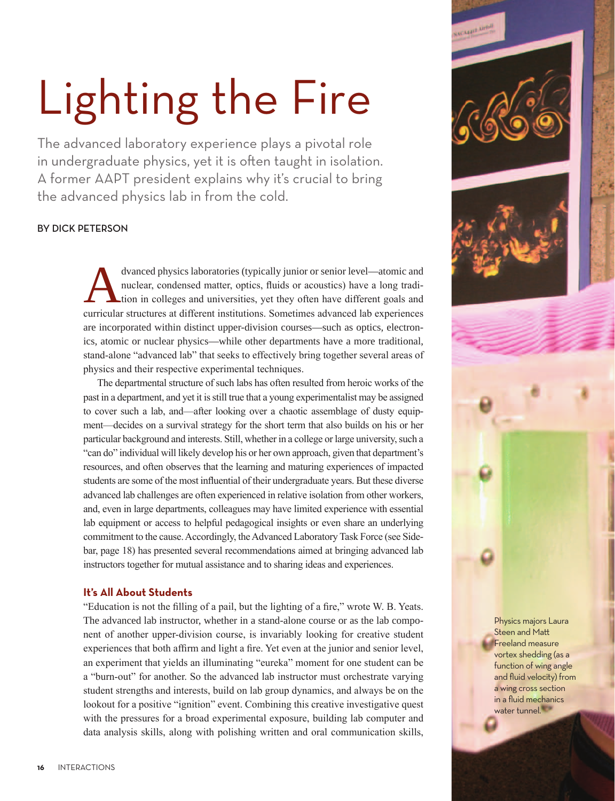# Lighting the Fire

The advanced laboratory experience plays a pivotal role in undergraduate physics, yet it is often taught in isolation. A former AAPT president explains why it's crucial to bring the advanced physics lab in from the cold.

## **BY DICK PETERSON**

dvanced physics laboratories (typically junior or senior level—atomic and nuclear, condensed matter, optics, fluids or acoustics) have a long tradition in colleges and universities, yet they often have different goals and nuclear, condensed matter, optics, fluids or acoustics) have a long tradition in colleges and universities, yet they often have different goals and curricular structures at different institutions. Sometimes advanced lab experiences are incorporated within distinct upper-division courses—such as optics, electronics, atomic or nuclear physics—while other departments have a more traditional, stand-alone "advanced lab" that seeks to effectively bring together several areas of physics and their respective experimental techniques.

The departmental structure of such labs has often resulted from heroic works of the past in a department, and yet it is still true that a young experimentalist may be assigned to cover such a lab, and—after looking over a chaotic assemblage of dusty equipment—decides on a survival strategy for the short term that also builds on his or her particular background and interests. Still, whether in a college or large university, such a "can do" individual will likely develop his or her own approach, given that department's resources, and often observes that the learning and maturing experiences of impacted students are some of the most influential of their undergraduate years. But these diverse advanced lab challenges are often experienced in relative isolation from other workers, and, even in large departments, colleagues may have limited experience with essential lab equipment or access to helpful pedagogical insights or even share an underlying commitment to the cause. Accordingly, the Advanced Laboratory Task Force (see Sidebar, page 18) has presented several recommendations aimed at bringing advanced lab instructors together for mutual assistance and to sharing ideas and experiences.

### **It's All About Students**

"Education is not the filling of a pail, but the lighting of a fire," wrote W. B. Yeats. The advanced lab instructor, whether in a stand-alone course or as the lab component of another upper-division course, is invariably looking for creative student experiences that both affirm and light a fire. Yet even at the junior and senior level, an experiment that yields an illuminating "eureka" moment for one student can be a "burn-out" for another. So the advanced lab instructor must orchestrate varying student strengths and interests, build on lab group dynamics, and always be on the lookout for a positive "ignition" event. Combining this creative investigative quest with the pressures for a broad experimental exposure, building lab computer and data analysis skills, along with polishing written and oral communication skills,

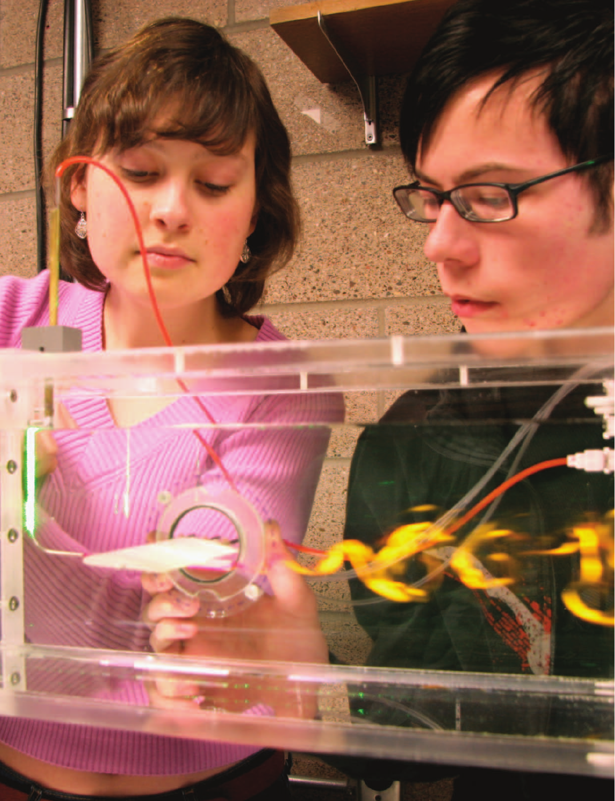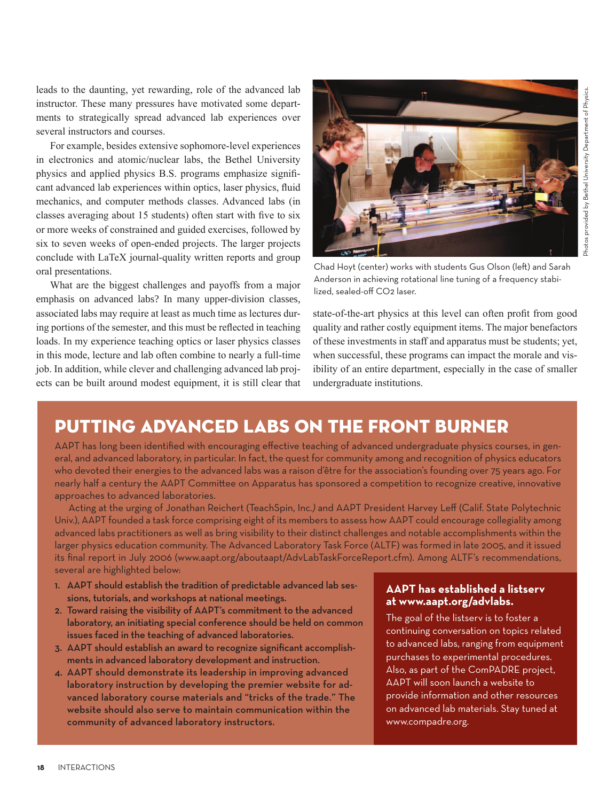leads to the daunting, yet rewarding, role of the advanced lab instructor. These many pressures have motivated some departments to strategically spread advanced lab experiences over several instructors and courses.

For example, besides extensive sophomore-level experiences in electronics and atomic/nuclear labs, the Bethel University physics and applied physics B.S. programs emphasize significant advanced lab experiences within optics, laser physics, fluid mechanics, and computer methods classes. Advanced labs (in classes averaging about 15 students) often start with five to six or more weeks of constrained and guided exercises, followed by six to seven weeks of open-ended projects. The larger projects conclude with LaTeX journal-quality written reports and group oral presentations.

What are the biggest challenges and payoffs from a major emphasis on advanced labs? In many upper-division classes, associated labs may require at least as much time as lectures during portions of the semester, and this must be reflected in teaching loads. In my experience teaching optics or laser physics classes in this mode, lecture and lab often combine to nearly a full-time job. In addition, while clever and challenging advanced lab projects can be built around modest equipment, it is still clear that



Chad Hoyt (center) works with students Gus Olson (left) and Sarah Anderson in achieving rotational line tuning of a frequency stabilized, sealed-off CO2 laser.

state-of-the-art physics at this level can often profit from good quality and rather costly equipment items. The major benefactors of these investments in staff and apparatus must be students; yet, when successful, these programs can impact the morale and visibility of an entire department, especially in the case of smaller undergraduate institutions.

## Putting Advanced Labs on the Front Burner

AAPT has long been identified with encouraging effective teaching of advanced undergraduate physics courses, in general, and advanced laboratory, in particular. In fact, the quest for community among and recognition of physics educators who devoted their energies to the advanced labs was a raison d'être for the association's founding over 75 years ago. For nearly half a century the AAPT Committee on Apparatus has sponsored a competition to recognize creative, innovative approaches to advanced laboratories.

Acting at the urging of Jonathan Reichert (TeachSpin, Inc*.)* and AAPT President Harvey Leff (Calif. State Polytechnic Univ.), AAPT founded a task force comprising eight of its members to assess how AAPT could encourage collegiality among advanced labs practitioners as well as bring visibility to their distinct challenges and notable accomplishments within the larger physics education community. The Advanced Laboratory Task Force (ALTF) was formed in late 2005, and it issued its final report in July 2006 (www.aapt.org/aboutaapt/AdvLabTaskForceReport.cfm). Among ALTF's recommendations, several are highlighted below:

- 1. AAPT should establish the tradition of predictable advanced lab sessions, tutorials, and workshops at national meetings.
- 2. Toward raising the visibility of AAPT's commitment to the advanced laboratory, an initiating special conference should be held on common issues faced in the teaching of advanced laboratories.
- 3. AAPT should establish an award to recognize significant accomplishments in advanced laboratory development and instruction.
- 4. AAPT should demonstrate its leadership in improving advanced laboratory instruction by developing the premier website for advanced laboratory course materials and "tricks of the trade." The website should also serve to maintain communication within the community of advanced laboratory instructors.

## **AAPT has established a listserv at www.aapt.org/advlabs.**

The goal of the listserv is to foster a continuing conversation on topics related to advanced labs, ranging from equipment purchases to experimental procedures. Also, as part of the ComPADRE project, AAPT will soon launch a website to provide information and other resources on advanced lab materials. Stay tuned at www.compadre.org.